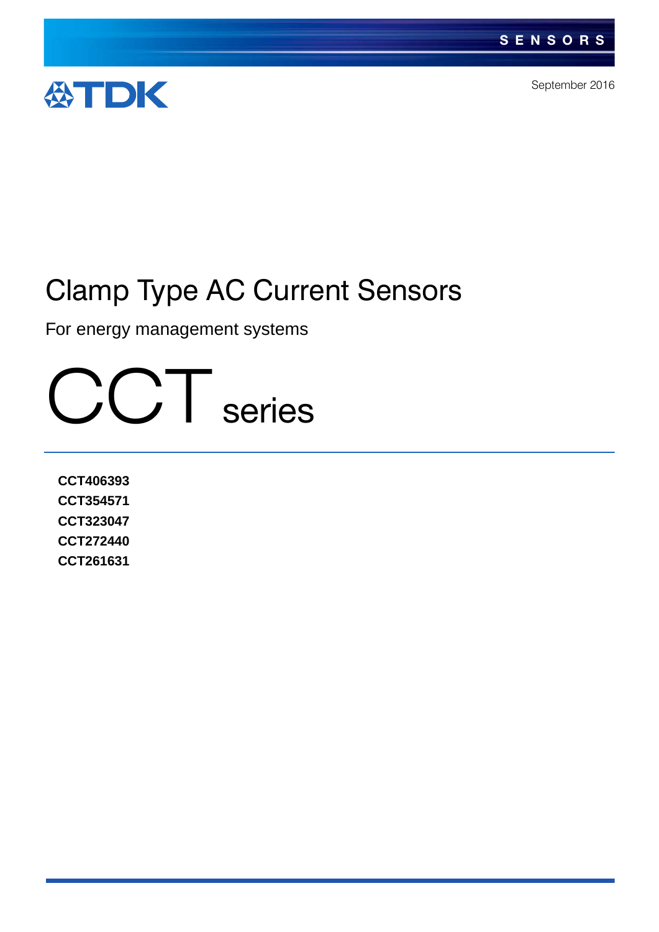

September 2016

# Clamp Type AC Current Sensors

For energy management systems

CCT series

**CCT406393 CCT354571 CCT323047 CCT272440 CCT261631**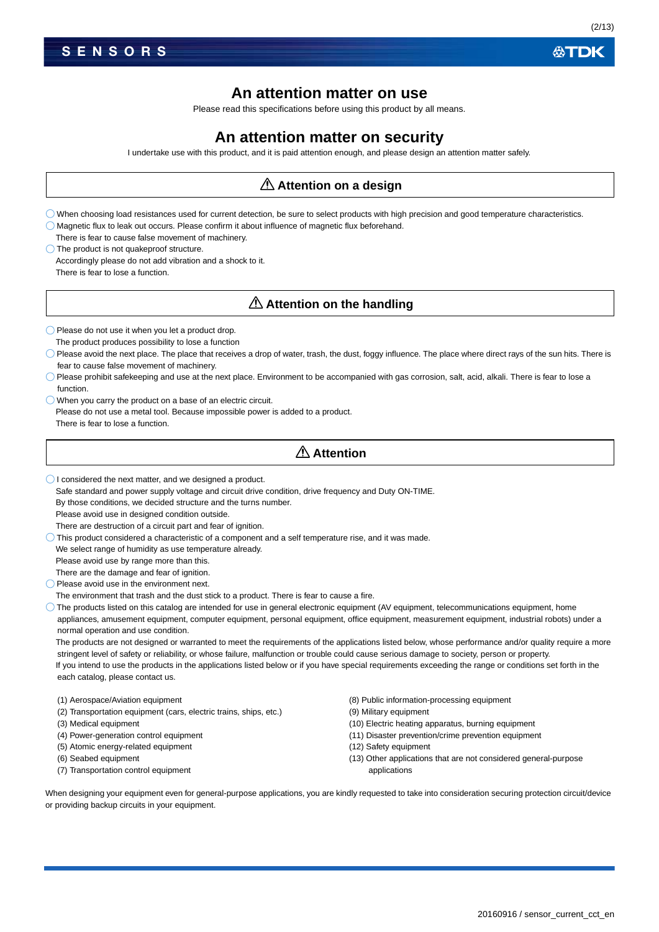### **An attention matter on use**

Please read this specifications before using this product by all means.

### **An attention matter on security**

I undertake use with this product, and it is paid attention enough, and please design an attention matter safely.

### **Attention on a design**

- When choosing load resistances used for current detection, be sure to select products with high precision and good temperature characteristics.  $\bigcirc$  Magnetic flux to leak out occurs. Please confirm it about influence of magnetic flux beforehand.
- There is fear to cause false movement of machinery.

O The product is not quakeproof structure.

Accordingly please do not add vibration and a shock to it. There is fear to lose a function.

### **Attention on the handling**

 $\bigcirc$  Please do not use it when you let a product drop.

- The product produces possibility to lose a function
- Please avoid the next place. The place that receives a drop of water, trash, the dust, foggy influence. The place where direct rays of the sun hits. There is fear to cause false movement of machinery.
- $\bigcirc$  Please prohibit safekeeping and use at the next place. Environment to be accompanied with gas corrosion, salt, acid, alkali. There is fear to lose a function.
- When you carry the product on a base of an electric circuit. Please do not use a metal tool. Because impossible power is added to a product. There is fear to lose a function.

### **Attention**

 $\bigcap$  I considered the next matter, and we designed a product.

Safe standard and power supply voltage and circuit drive condition, drive frequency and Duty ON-TIME.

By those conditions, we decided structure and the turns number.

Please avoid use in designed condition outside.

There are destruction of a circuit part and fear of ignition.

 $\bigcirc$  This product considered a characteristic of a component and a self temperature rise, and it was made.

We select range of humidity as use temperature already.

Please avoid use by range more than this.

There are the damage and fear of ignition.

 $\bigcirc$  Please avoid use in the environment next.

The environment that trash and the dust stick to a product. There is fear to cause a fire.

 $\bigcirc$  The products listed on this catalog are intended for use in general electronic equipment (AV equipment, telecommunications equipment, home appliances, amusement equipment, computer equipment, personal equipment, office equipment, measurement equipment, industrial robots) under a normal operation and use condition.

The products are not designed or warranted to meet the requirements of the applications listed below, whose performance and/or quality require a more stringent level of safety or reliability, or whose failure, malfunction or trouble could cause serious damage to society, person or property. If you intend to use the products in the applications listed below or if you have special requirements exceeding the range or conditions set forth in the each catalog, please contact us.

- (1) Aerospace/Aviation equipment
- (2) Transportation equipment (cars, electric trains, ships, etc.)
- (3) Medical equipment
- (4) Power-generation control equipment
- (5) Atomic energy-related equipment
- (6) Seabed equipment
- (7) Transportation control equipment
- (8) Public information-processing equipment
- (9) Military equipment
- (10) Electric heating apparatus, burning equipment
- (11) Disaster prevention/crime prevention equipment
- (12) Safety equipment
- (13) Other applications that are not considered general-purpose applications

When designing your equipment even for general-purpose applications, you are kindly requested to take into consideration securing protection circuit/device or providing backup circuits in your equipment.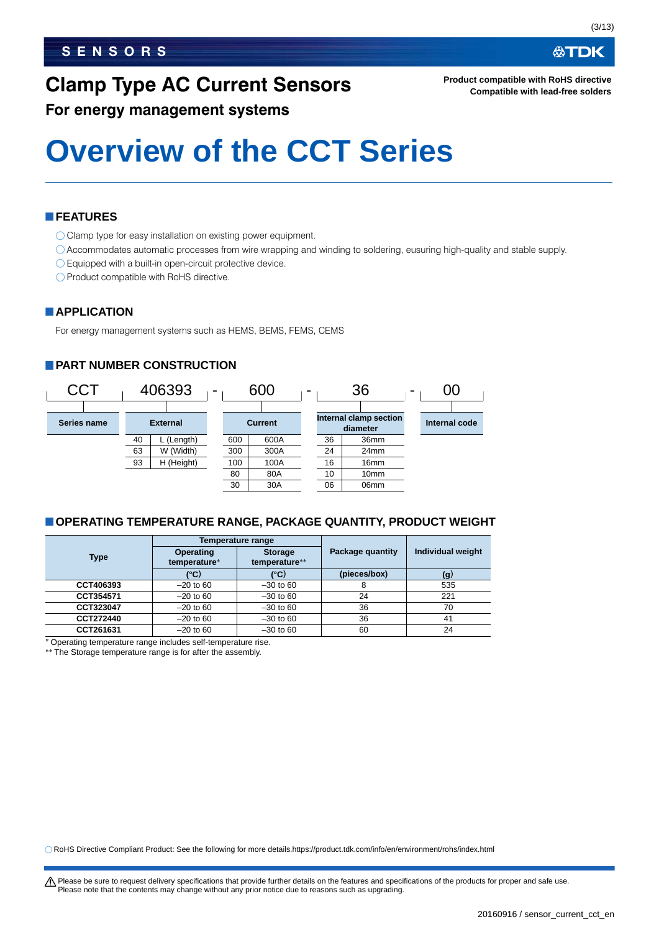## **Clamp Type AC Current Sensors**

**ATDK** 

**Product compatible with RoHS directive Compatible with lead-free solders**

### **For energy management systems**

# **Overview of the CCT Series**

### **FEATURES**

- O Clamp type for easy installation on existing power equipment.
- Accommodates automatic processes from wire wrapping and winding to soldering, eusuring high-quality and stable supply.
- Equipped with a built-in open-circuit protective device.
- O Product compatible with RoHS directive.

### **APPLICATION**

For energy management systems such as HEMS, BEMS, FEMS, CEMS

### **PART NUMBER CONSTRUCTION**



### **OPERATING TEMPERATURE RANGE, PACKAGE QUANTITY, PRODUCT WEIGHT**

|             | Temperature range                |                                 |                  |                   |
|-------------|----------------------------------|---------------------------------|------------------|-------------------|
| <b>Type</b> | <b>Operating</b><br>temperature* | <b>Storage</b><br>temperature** | Package quantity | Individual weight |
|             | (°C)                             | (°C)                            | (pieces/box)     | (g)               |
| CCT406393   | $-20$ to 60                      | $-30$ to 60                     | 8                | 535               |
| CCT354571   | $-20$ to 60                      | $-30$ to 60                     | 24               | 221               |
| CCT323047   | $-20$ to 60                      | $-30$ to 60                     | 36               | 70                |
| CCT272440   | $-20$ to 60                      | $-30$ to 60                     | 36               | 41                |
| CCT261631   | $-20$ to 60                      | $-30$ to 60                     | 60               | 24                |
| . .         |                                  |                                 |                  |                   |

Operating temperature range includes self-temperature rise.

The Storage temperature range is for after the assembly.

RoHS Directive Compliant Product: See the following for more details.https://product.tdk.com/info/en/environment/rohs/index.html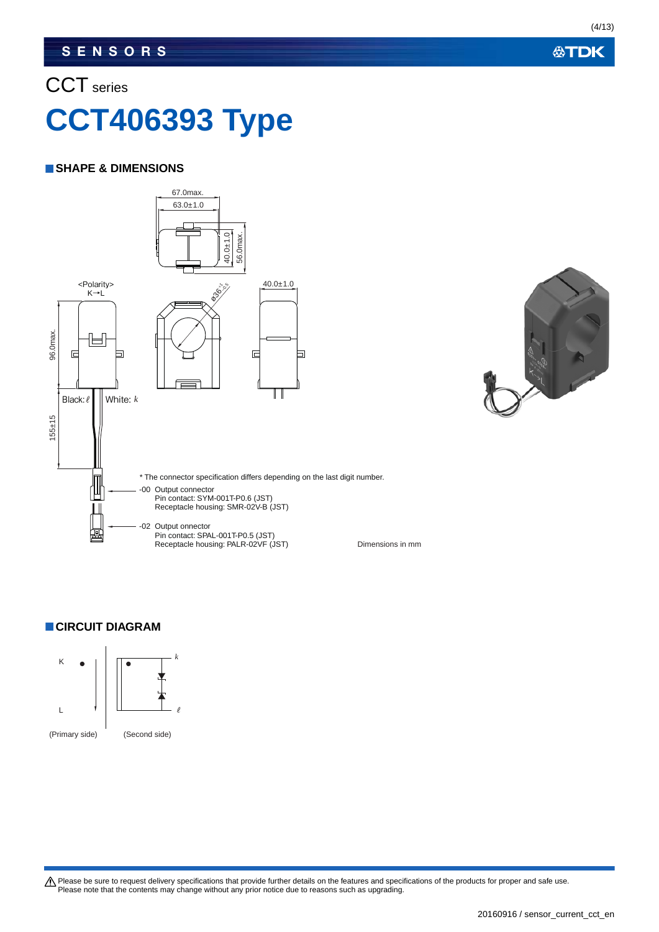### CCT series

# **CCT406393 Type**

### **SHAPE & DIMENSIONS**



### **CIRCUIT DIAGRAM**



Please be sure to request delivery specifications that provide further details on the features and specifications of the products for proper and safe use.<br>Please note that the contents may change without any prior notice d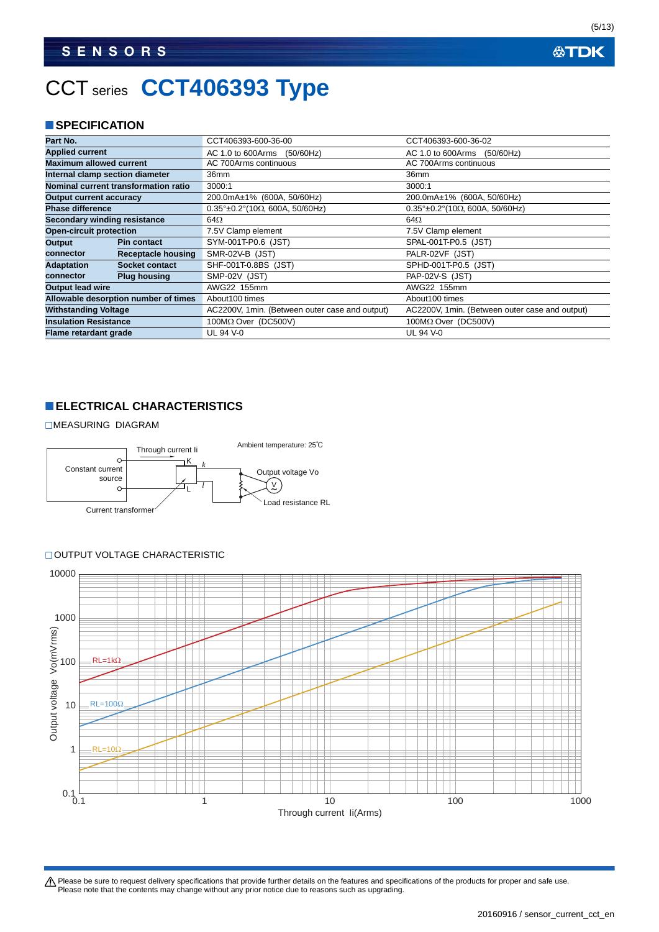## CCT series **CCT406393 Type**

### **SPECIFICATION**

| Part No.                        |                                      | CCT406393-600-36-00                               | CCT406393-600-36-02                               |
|---------------------------------|--------------------------------------|---------------------------------------------------|---------------------------------------------------|
| <b>Applied current</b>          |                                      | AC 1.0 to 600Arms<br>(50/60Hz)                    | AC 1.0 to 600Arms<br>(50/60Hz)                    |
| <b>Maximum allowed current</b>  |                                      | AC 700Arms continuous                             | AC 700Arms continuous                             |
| Internal clamp section diameter |                                      | 36mm                                              | 36mm                                              |
|                                 | Nominal current transformation ratio | 3000:1                                            | 3000:1                                            |
| <b>Output current accuracy</b>  |                                      | 200.0mA±1% (600A, 50/60Hz)                        | 200.0mA±1% (600A, 50/60Hz)                        |
| <b>Phase difference</b>         |                                      | $0.35^{\circ}$ ±0.2°(10 $\Omega$ , 600A, 50/60Hz) | $0.35^{\circ}$ ±0.2°(10 $\Omega$ , 600A, 50/60Hz) |
| Secondary winding resistance    |                                      | 64 $\Omega$                                       | 64 $\Omega$                                       |
| <b>Open-circuit protection</b>  |                                      | 7.5V Clamp element                                | 7.5V Clamp element                                |
| Output                          | <b>Pin contact</b>                   | SYM-001T-P0.6 (JST)                               | SPAL-001T-P0.5 (JST)                              |
| connector                       | <b>Receptacle housing</b>            | SMR-02V-B (JST)                                   | PALR-02VF (JST)                                   |
| <b>Adaptation</b>               | Socket contact                       | SHF-001T-0.8BS (JST)                              | SPHD-001T-P0.5 (JST)                              |
| connector                       | <b>Plug housing</b>                  | SMP-02V (JST)                                     | <b>PAP-02V-S (JST)</b>                            |
| <b>Output lead wire</b>         |                                      | AWG22 155mm                                       | AWG22 155mm                                       |
|                                 | Allowable desorption number of times | About 100 times                                   | About 100 times                                   |
| <b>Withstanding Voltage</b>     |                                      | AC2200V, 1min. (Between outer case and output)    | AC2200V, 1min. (Between outer case and output)    |
| <b>Insulation Resistance</b>    |                                      | $100M\Omega$ Over (DC500V)                        | $100M\Omega$ Over (DC500V)                        |
| Flame retardant grade           |                                      | UL 94 V-0                                         | UL 94 V-0                                         |

### **ELECTRICAL CHARACTERISTICS**

MEASURING DIAGRAM



### OUTPUT VOLTAGE CHARACTERISTIC



Please be sure to request delivery specifications that provide further details on the features and specifications of the products for proper and safe use.<br>Please note that the contents may change without any prior notice d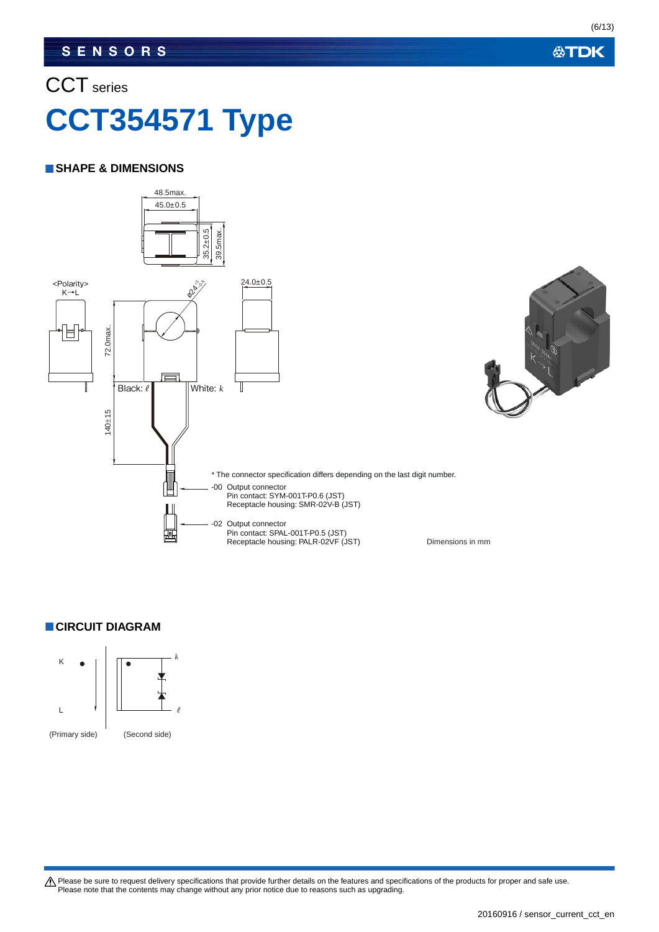### CCT series

# **CCT354571 Type**

### **SHAPE & DIMENSIONS**



### **CIRCUIT DIAGRAM**



Please be sure to request delivery specifications that provide further details on the features and specifications of the products for proper and safe use.<br>Please note that the contents may change without any prior notice d

**公TDK** 

### 20160916 / sensor\_current\_cct\_en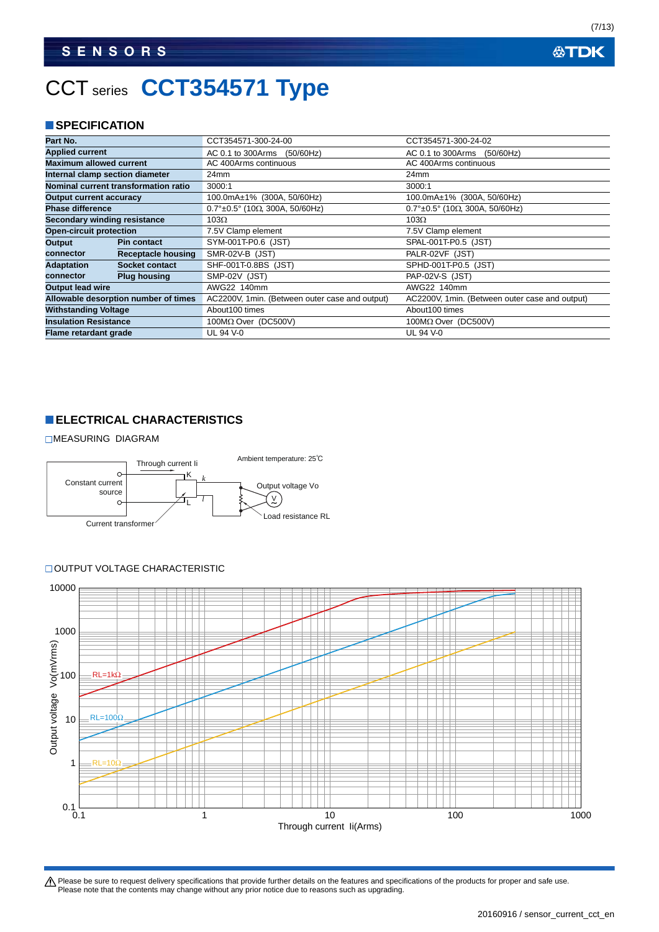## CCT series **CCT354571 Type**

### **SPECIFICATION**

| Part No.                        |                                      | CCT354571-300-24-00                               | CCT354571-300-24-02                               |
|---------------------------------|--------------------------------------|---------------------------------------------------|---------------------------------------------------|
| <b>Applied current</b>          |                                      | AC 0.1 to 300Arms<br>(50/60Hz)                    | AC 0.1 to 300Arms (50/60Hz)                       |
| <b>Maximum allowed current</b>  |                                      | AC 400Arms continuous                             | AC 400Arms continuous                             |
| Internal clamp section diameter |                                      | 24 <sub>mm</sub>                                  | 24mm                                              |
|                                 | Nominal current transformation ratio | 3000:1                                            | 3000:1                                            |
| <b>Output current accuracy</b>  |                                      | 100.0mA±1% (300A, 50/60Hz)                        | 100.0mA±1% (300A, 50/60Hz)                        |
| <b>Phase difference</b>         |                                      | $0.7^{\circ}$ ±0.5° (10 $\Omega$ , 300A, 50/60Hz) | $0.7^{\circ}$ ±0.5° (10 $\Omega$ , 300A, 50/60Hz) |
| Secondary winding resistance    |                                      | $103\Omega$                                       | $103\Omega$                                       |
| <b>Open-circuit protection</b>  |                                      | 7.5V Clamp element                                | 7.5V Clamp element                                |
| Output                          | <b>Pin contact</b>                   | SYM-001T-P0.6 (JST)                               | SPAL-001T-P0.5 (JST)                              |
| connector                       | Receptacle housing                   | SMR-02V-B (JST)                                   | PALR-02VF (JST)                                   |
| <b>Adaptation</b>               | Socket contact                       | SHF-001T-0.8BS (JST)                              | SPHD-001T-P0.5 (JST)                              |
| connector                       | <b>Plug housing</b>                  | SMP-02V (JST)                                     | <b>PAP-02V-S (JST)</b>                            |
| <b>Output lead wire</b>         |                                      | AWG22 140mm                                       | AWG22 140mm                                       |
|                                 | Allowable desorption number of times | AC2200V, 1min. (Between outer case and output)    | AC2200V, 1min. (Between outer case and output)    |
| <b>Withstanding Voltage</b>     |                                      | About 100 times                                   | About 100 times                                   |
| <b>Insulation Resistance</b>    |                                      | $100M\Omega$ Over (DC500V)                        | $100M\Omega$ Over (DC500V)                        |
| Flame retardant grade           |                                      | UL 94 V-0                                         | UL 94 V-0                                         |

### **ELECTRICAL CHARACTERISTICS**

#### MEASURING DIAGRAM



#### OUTPUT VOLTAGE CHARACTERISTIC



Please be sure to request delivery specifications that provide further details on the features and specifications of the products for proper and safe use.<br>Please note that the contents may change without any prior notice d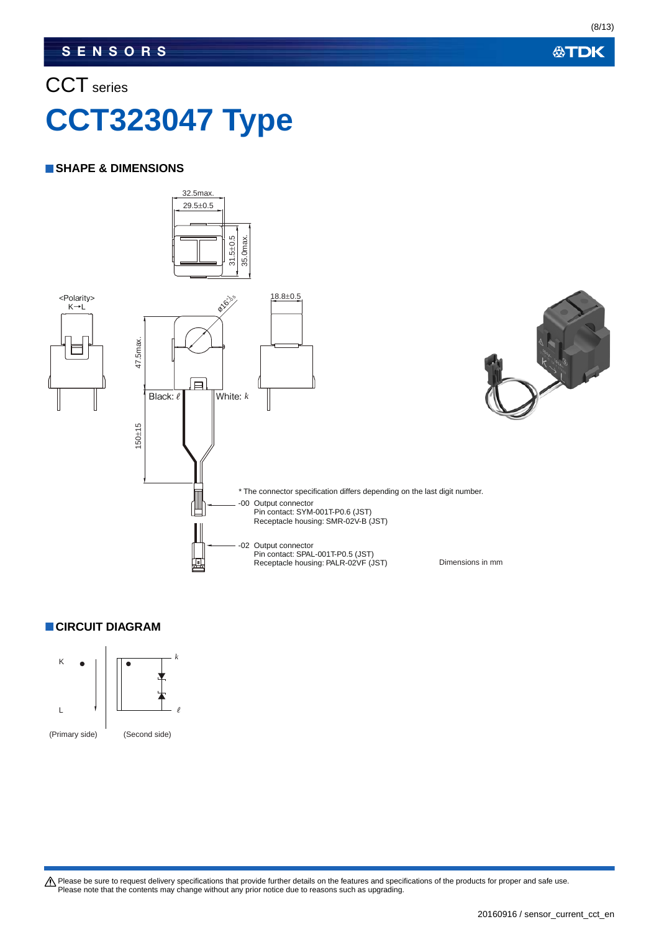### CCT series

# **CCT323047 Type**

### **SHAPE & DIMENSIONS**



### **CIRCUIT DIAGRAM**



Please be sure to request delivery specifications that provide further details on the features and specifications of the products for proper and safe use.<br>Please note that the contents may change without any prior notice d

**公TDK** 

#### 20160916 / sensor\_current\_cct\_en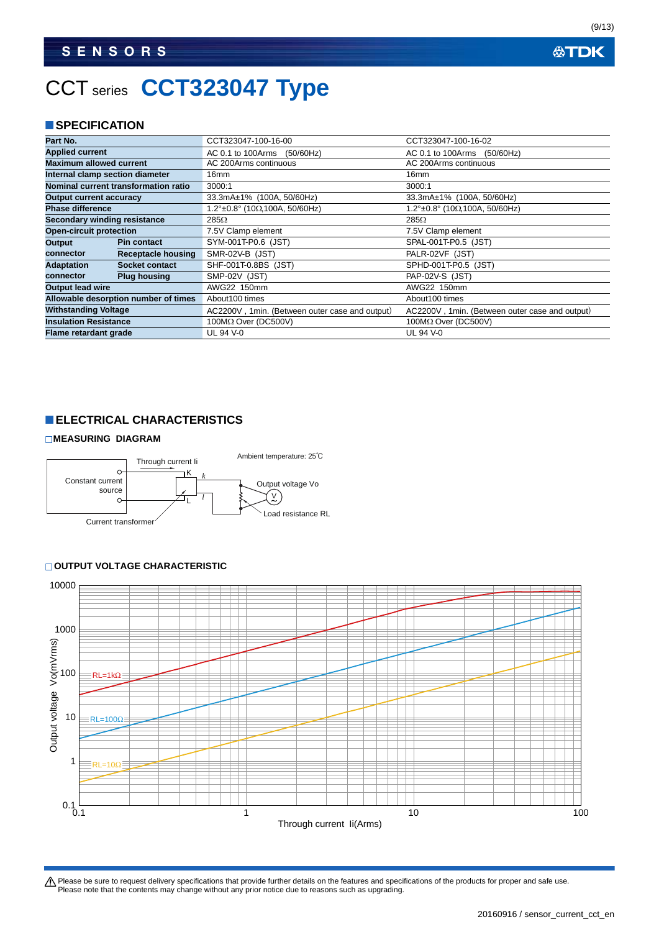## CCT series **CCT323047 Type**

### **SPECIFICATION**

| Part No.                                               |                                      | CCT323047-100-16-00                               | CCT323047-100-16-02                               |
|--------------------------------------------------------|--------------------------------------|---------------------------------------------------|---------------------------------------------------|
| <b>Applied current</b>                                 |                                      | AC 0.1 to 100Arms<br>(50/60Hz)                    | AC 0.1 to 100Arms (50/60Hz)                       |
| <b>Maximum allowed current</b>                         |                                      | AC 200Arms continuous                             | AC 200Arms continuous                             |
| Internal clamp section diameter                        |                                      | 16mm                                              | 16 <sub>mm</sub>                                  |
|                                                        | Nominal current transformation ratio | 3000:1                                            | 3000:1                                            |
| <b>Output current accuracy</b>                         |                                      | 33.3mA±1% (100A, 50/60Hz)                         | 33.3mA±1% (100A, 50/60Hz)                         |
| <b>Phase difference</b>                                |                                      | $1.2^{\circ}$ ±0.8° (10 $\Omega$ , 100A, 50/60Hz) | $1.2^{\circ}$ ±0.8° (10 $\Omega$ , 100A, 50/60Hz) |
| Secondary winding resistance                           |                                      | 285Ω                                              | 285Ω                                              |
| <b>Open-circuit protection</b>                         |                                      | 7.5V Clamp element                                | 7.5V Clamp element                                |
| Output                                                 | <b>Pin contact</b>                   | SYM-001T-P0.6 (JST)                               | SPAL-001T-P0.5 (JST)                              |
| connector                                              | Receptacle housing                   | SMR-02V-B (JST)                                   | PALR-02VF (JST)                                   |
| <b>Adaptation</b>                                      | <b>Socket contact</b>                | SHF-001T-0.8BS (JST)                              | SPHD-001T-P0.5 (JST)                              |
| connector                                              | <b>Plug housing</b>                  | SMP-02V (JST)                                     | <b>PAP-02V-S (JST)</b>                            |
| <b>Output lead wire</b>                                |                                      | AWG22 150mm                                       | AWG22 150mm                                       |
| Allowable desorption number of times<br>About100 times |                                      |                                                   | About 100 times                                   |
| <b>Withstanding Voltage</b>                            |                                      | AC2200V, 1min. (Between outer case and output)    | AC2200V, 1min. (Between outer case and output)    |
| <b>Insulation Resistance</b>                           |                                      | 100MΩ Over (DC500V)                               | $100M\Omega$ Over (DC500V)                        |
| Flame retardant grade                                  |                                      | UL 94 V-0                                         | <b>UL 94 V-0</b>                                  |

### **ELECTRICAL CHARACTERISTICS**

#### **MEASURING DIAGRAM**



#### **OUTPUT VOLTAGE CHARACTERISTIC**



Please be sure to request delivery specifications that provide further details on the features and specifications of the products for proper and safe use.<br>Please note that the contents may change without any prior notice d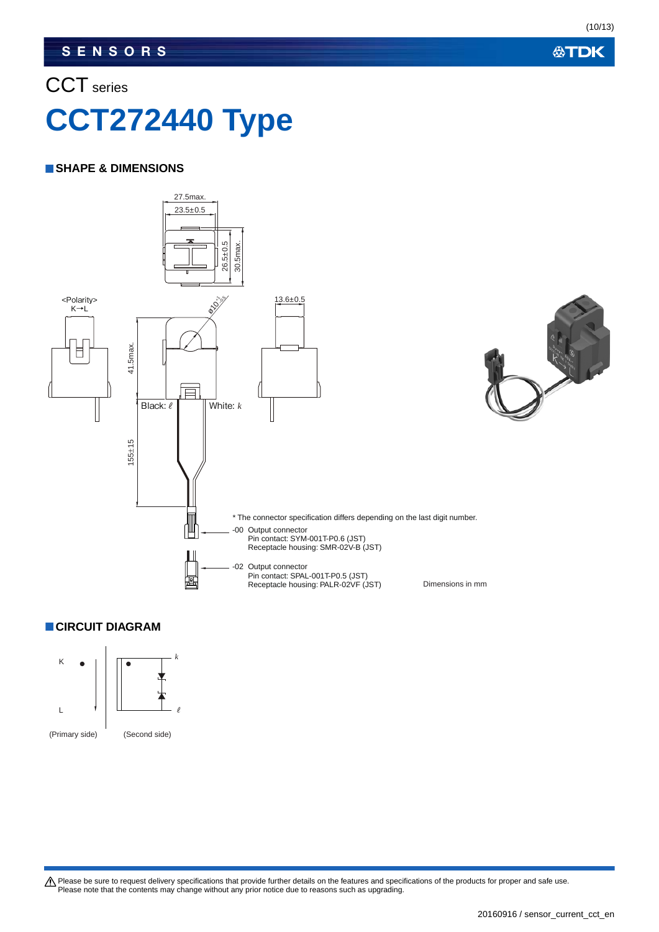### CCT series

# **CCT272440 Type**

### **SHAPE & DIMENSIONS**



### **CIRCUIT DIAGRAM**

K  $\bullet$   $\begin{array}{|c|c|c|c|c|}\n\hline\n\end{array}$   $\begin{array}{|c|c|c|c|}\n\hline\n\end{array}$ L **ℓ** (Primary side) (Second side)

Please be sure to request delivery specifications that provide further details on the features and specifications of the products for proper and safe use.<br>Please note that the contents may change without any prior notice d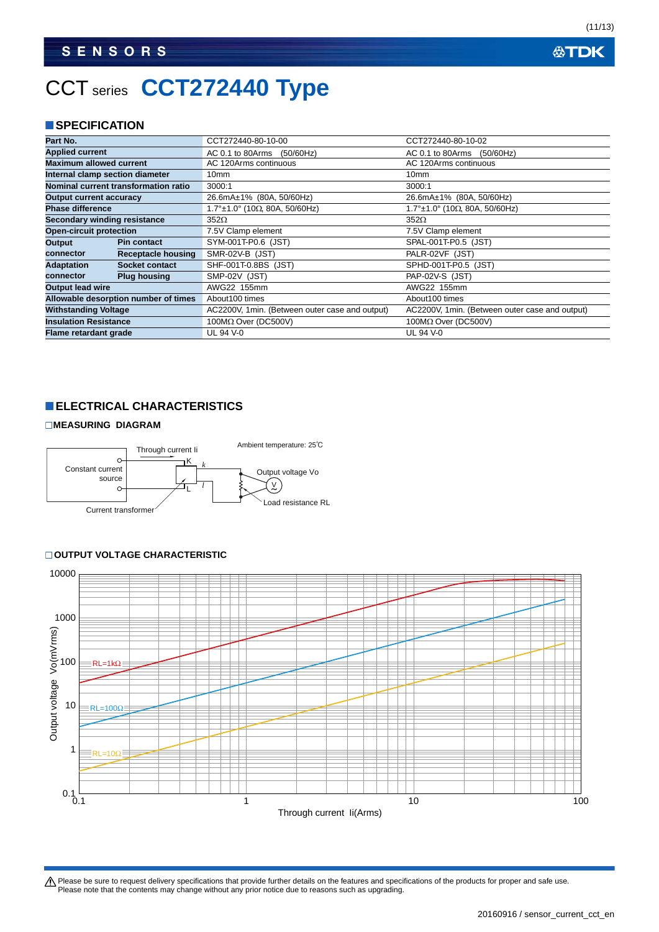## CCT series **CCT272440 Type**

### **SPECIFICATION**

| Part No.                        |                                      | CCT272440-80-10-00                             | CCT272440-80-10-02                               |
|---------------------------------|--------------------------------------|------------------------------------------------|--------------------------------------------------|
| <b>Applied current</b>          |                                      | AC 0.1 to 80Arms<br>(50/60Hz)                  | AC 0.1 to 80Arms<br>(50/60Hz)                    |
| <b>Maximum allowed current</b>  |                                      | AC 120Arms continuous                          | AC 120Arms continuous                            |
| Internal clamp section diameter |                                      | 10 <sub>mm</sub>                               | 10 <sub>mm</sub>                                 |
|                                 | Nominal current transformation ratio | 3000:1                                         | 3000:1                                           |
| <b>Output current accuracy</b>  |                                      | 26.6mA±1% (80A, 50/60Hz)                       | 26.6mA±1% (80A, 50/60Hz)                         |
| <b>Phase difference</b>         |                                      | $1.7^{\circ}$ ±1.0° (10Ω, 80A, 50/60Hz)        | $1.7^{\circ}$ ±1.0° (10 $\Omega$ , 80A, 50/60Hz) |
| Secondary winding resistance    |                                      | $352\Omega$                                    | $352\Omega$                                      |
| <b>Open-circuit protection</b>  |                                      | 7.5V Clamp element                             | 7.5V Clamp element                               |
| Output                          | <b>Pin contact</b>                   | SYM-001T-P0.6 (JST)                            | SPAL-001T-P0.5 (JST)                             |
| connector                       | Receptacle housing                   | SMR-02V-B (JST)                                | PALR-02VF (JST)                                  |
| <b>Adaptation</b>               | Socket contact                       | SHF-001T-0.8BS (JST)                           | SPHD-001T-P0.5 (JST)                             |
| connector                       | <b>Plug housing</b>                  | SMP-02V (JST)                                  | <b>PAP-02V-S (JST)</b>                           |
| <b>Output lead wire</b>         |                                      | AWG22 155mm                                    | AWG22 155mm                                      |
|                                 | Allowable desorption number of times | About 100 times                                | About 100 times                                  |
| <b>Withstanding Voltage</b>     |                                      | AC2200V, 1min. (Between outer case and output) | AC2200V, 1min. (Between outer case and output)   |
| <b>Insulation Resistance</b>    |                                      | $100M\Omega$ Over (DC500V)                     | $100M\Omega$ Over (DC500V)                       |
| Flame retardant grade           |                                      | UL 94 V-0                                      | UL 94 V-0                                        |

### **ELECTRICAL CHARACTERISTICS**

#### **MEASURING DIAGRAM**



### **OUTPUT VOLTAGE CHARACTERISTIC**



Please be sure to request delivery specifications that provide further details on the features and specifications of the products for proper and safe use.<br>Please note that the contents may change without any prior notice d

(11/13)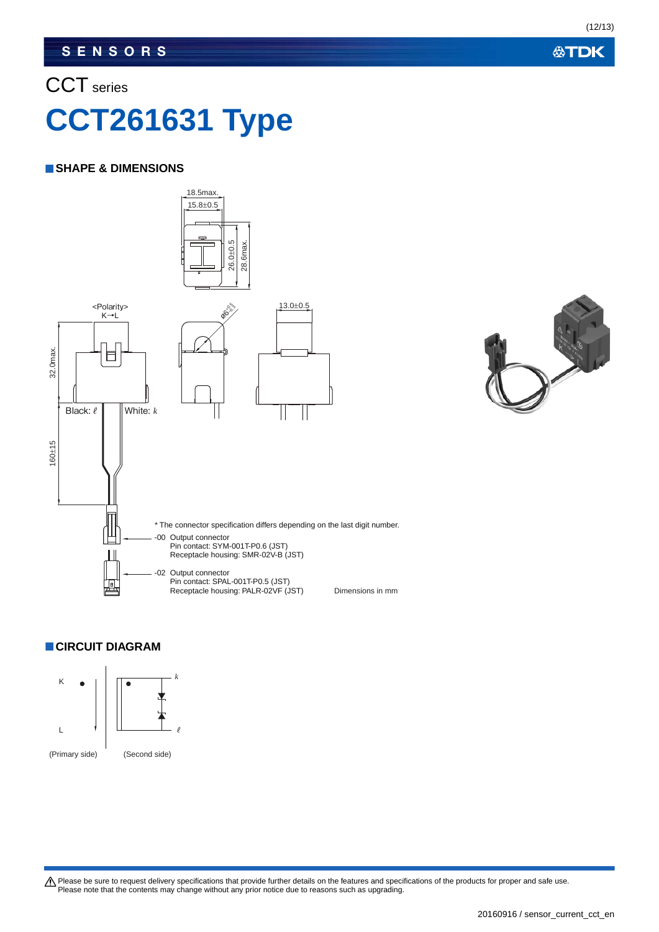# CCT series **CCT261631 Type**

### **SHAPE & DIMENSIONS**





**CIRCUIT DIAGRAM**



Please be sure to request delivery specifications that provide further details on the features and specifications of the products for proper and safe use.<br>Please note that the contents may change without any prior notice d